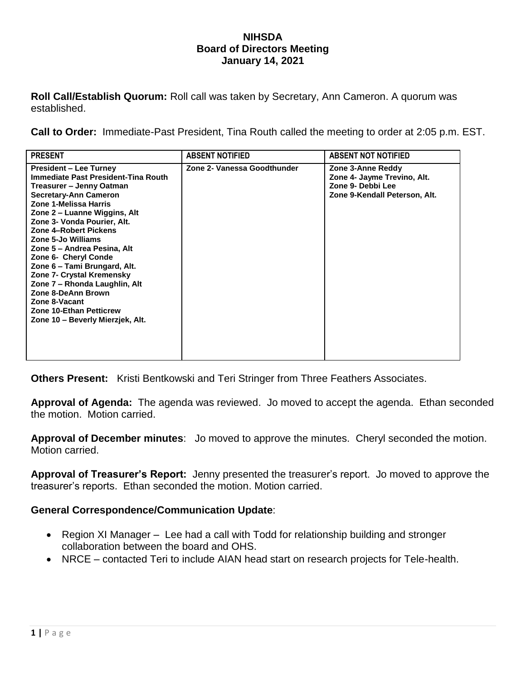## **NIHSDA Board of Directors Meeting January 14, 2021**

**Roll Call/Establish Quorum:** Roll call was taken by Secretary, Ann Cameron. A quorum was established.

**Call to Order:** Immediate-Past President, Tina Routh called the meeting to order at 2:05 p.m. EST.

| <b>PRESENT</b>                                                                                                                                                                                                                                                                                                                                                                                                                                                                                                                            | <b>ABSENT NOTIFIED</b>      | <b>ABSENT NOT NOTIFIED</b>                                                                             |
|-------------------------------------------------------------------------------------------------------------------------------------------------------------------------------------------------------------------------------------------------------------------------------------------------------------------------------------------------------------------------------------------------------------------------------------------------------------------------------------------------------------------------------------------|-----------------------------|--------------------------------------------------------------------------------------------------------|
| <b>President – Lee Turney</b><br>Immediate Past President-Tina Routh<br>Treasurer – Jenny Oatman<br><b>Secretary-Ann Cameron</b><br>Zone 1-Melissa Harris<br>Zone 2 – Luanne Wiggins, Alt<br>Zone 3- Vonda Pourier, Alt.<br>Zone 4-Robert Pickens<br>Zone 5-Jo Williams<br>Zone 5 – Andrea Pesina, Alt<br>Zone 6- Cheryl Conde<br>Zone 6 – Tami Brungard, Alt.<br>Zone 7- Crystal Kremensky<br>Zone 7 - Rhonda Laughlin, Alt<br>Zone 8-DeAnn Brown<br>Zone 8-Vacant<br><b>Zone 10-Ethan Petticrew</b><br>Zone 10 - Beverly Mierzjek, Alt. | Zone 2- Vanessa Goodthunder | Zone 3-Anne Reddy<br>Zone 4- Jayme Trevino, Alt.<br>Zone 9- Debbi Lee<br>Zone 9-Kendall Peterson, Alt. |

**Others Present:** Kristi Bentkowski and Teri Stringer from Three Feathers Associates.

**Approval of Agenda:** The agenda was reviewed. Jo moved to accept the agenda. Ethan seconded the motion. Motion carried.

**Approval of December minutes**: Jo moved to approve the minutes. Cheryl seconded the motion. Motion carried.

**Approval of Treasurer's Report:** Jenny presented the treasurer's report. Jo moved to approve the treasurer's reports. Ethan seconded the motion. Motion carried.

## **General Correspondence/Communication Update**:

- Region XI Manager Lee had a call with Todd for relationship building and stronger collaboration between the board and OHS.
- NRCE contacted Teri to include AIAN head start on research projects for Tele-health.